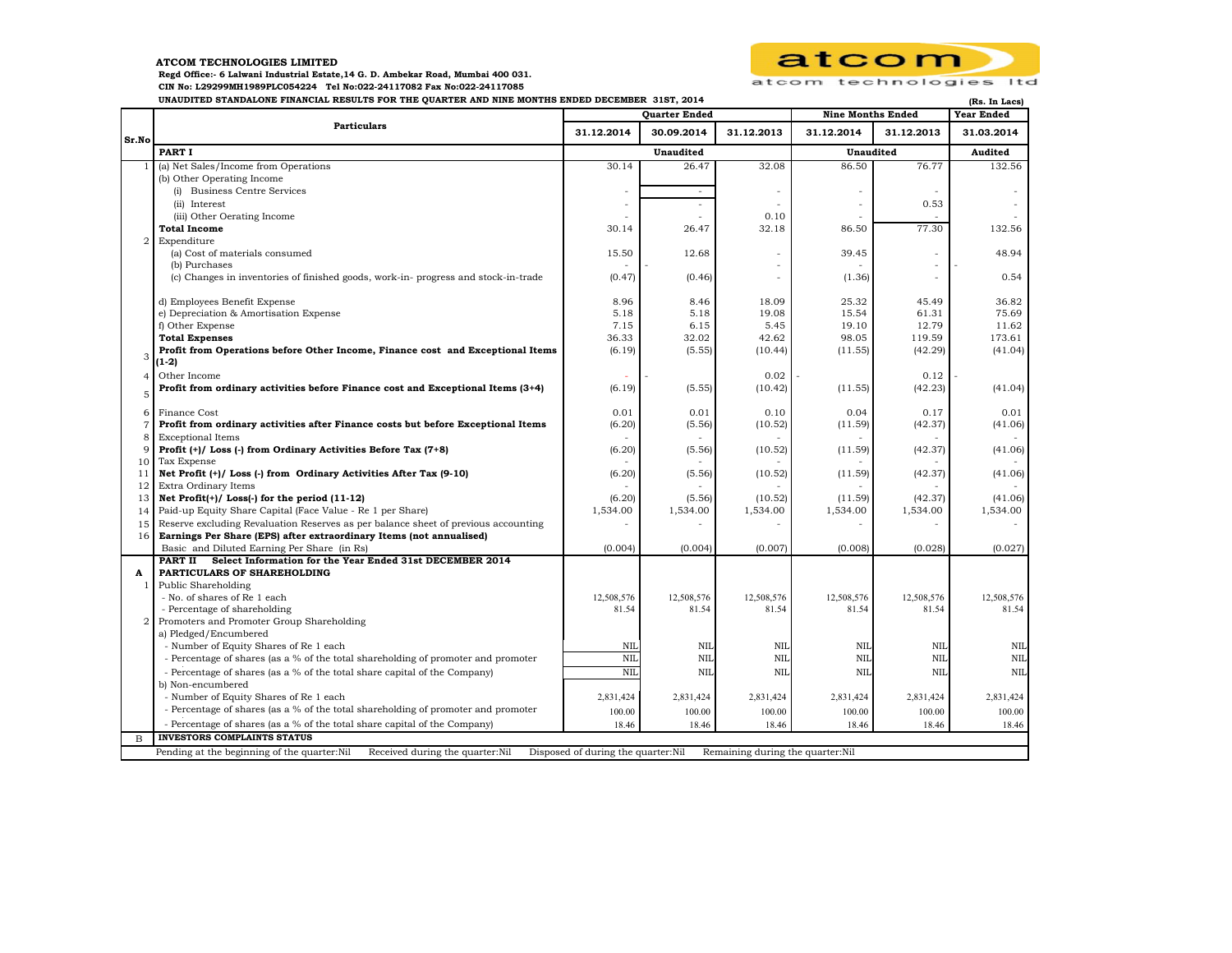## **ATCOM TECHNOLOGIES LIMITED**

 **Regd Office:- 6 Lalwani Industrial Estate,14 G. D. Ambekar Road, Mumbai 400 031.** 

 **CIN No: L29299MH1989PLC054224 Tel No:022-24117082 Fax No:022-24117085** 

**UNAUDITED STANDALONE FINANCIAL RESULTS FOR THE QUARTER AND NINE MONTHS ENDED DECEMBER 31ST, 2014 (Rs. In Lacs)**



|                |                                                                                                                                                          | Quarter Ended   |                 |                 | <b>Nine Months Ended</b> |                 | <b>IVS. III DACS</b><br><b>Year Ended</b> |
|----------------|----------------------------------------------------------------------------------------------------------------------------------------------------------|-----------------|-----------------|-----------------|--------------------------|-----------------|-------------------------------------------|
| Sr.No          | <b>Particulars</b>                                                                                                                                       | 31.12.2014      | 30.09.2014      | 31.12.2013      | 31.12.2014               | 31.12.2013      | 31.03.2014                                |
|                | PART I                                                                                                                                                   | Unaudited       |                 | Unaudited       |                          | Audited         |                                           |
|                | (a) Net Sales/Income from Operations                                                                                                                     | 30.14           | 26.47           | 32.08           | 86.50                    | 76.77           | 132.56                                    |
|                | (b) Other Operating Income                                                                                                                               |                 |                 |                 |                          |                 |                                           |
|                | (i) Business Centre Services                                                                                                                             |                 | $\sim$          |                 |                          |                 |                                           |
|                | (ii) Interest                                                                                                                                            |                 | $\sim$          | ÷               |                          | 0.53            |                                           |
|                | (iii) Other Oerating Income                                                                                                                              |                 |                 | 0.10            |                          |                 |                                           |
|                | <b>Total Income</b>                                                                                                                                      | 30.14           | 26.47           | 32.18           | 86.50                    | 77.30           | 132.56                                    |
| $\overline{a}$ | Expenditure                                                                                                                                              | 15.50           |                 | ÷               | 39.45                    |                 | 48.94                                     |
|                | (a) Cost of materials consumed<br>(b) Purchases                                                                                                          |                 | 12.68           | ÷               |                          |                 |                                           |
|                | (c) Changes in inventories of finished goods, work-in-progress and stock-in-trade                                                                        | (0.47)          | (0.46)          | ٠               | (1.36)                   |                 | 0.54                                      |
|                |                                                                                                                                                          |                 |                 |                 |                          |                 |                                           |
|                | d) Employees Benefit Expense                                                                                                                             | 8.96            | 8.46            | 18.09           | 25.32                    | 45.49           | 36.82                                     |
|                | e) Depreciation & Amortisation Expense                                                                                                                   | 5.18            | 5.18            | 19.08           | 15.54                    | 61.31           | 75.69                                     |
|                | f) Other Expense                                                                                                                                         | 7.15            | 6.15            | 5.45            | 19.10                    | 12.79           | 11.62                                     |
|                | <b>Total Expenses</b>                                                                                                                                    | 36.33           | 32.02           | 42.62           | 98.05                    | 119.59          | 173.61                                    |
| 3              | Profit from Operations before Other Income, Finance cost and Exceptional Items                                                                           | (6.19)          | (5.55)          | (10.44)         | (11.55)                  | (42.29)         | (41.04)                                   |
|                | $(1-2)$                                                                                                                                                  |                 |                 |                 |                          |                 |                                           |
| 4              | Other Income                                                                                                                                             |                 |                 | 0.02            |                          | 0.12            |                                           |
| 5              | Profit from ordinary activities before Finance cost and Exceptional Items (3+4)                                                                          | (6.19)          | (5.55)          | (10.42)         | (11.55)                  | (42.23)         | (41.04)                                   |
|                |                                                                                                                                                          |                 |                 |                 |                          |                 |                                           |
| 6              | Finance Cost                                                                                                                                             | 0.01            | 0.01            | 0.10            | 0.04                     | 0.17            | 0.01                                      |
| 7              | Profit from ordinary activities after Finance costs but before Exceptional Items                                                                         | (6.20)          | (5.56)          | (10.52)         | (11.59)                  | (42.37)         | (41.06)                                   |
| 8<br>9         | <b>Exceptional Items</b>                                                                                                                                 |                 |                 |                 |                          |                 |                                           |
| 10             | Profit (+)/ Loss (-) from Ordinary Activities Before Tax (7+8)<br>Tax Expense                                                                            | (6.20)          | (5.56)          | (10.52)         | (11.59)                  | (42.37)         | (41.06)                                   |
| 11             | Net Profit (+)/ Loss (-) from Ordinary Activities After Tax (9-10)                                                                                       | (6.20)          | (5.56)          | (10.52)         | (11.59)                  | (42.37)         | (41.06)                                   |
| 12             | Extra Ordinary Items                                                                                                                                     |                 |                 |                 |                          |                 |                                           |
| 13             | Net Profit $(+)/$ Loss $(-)$ for the period $(11-12)$                                                                                                    | (6.20)          | (5.56)          | (10.52)         | (11.59)                  | (42.37)         | (41.06)                                   |
| 14             | Paid-up Equity Share Capital (Face Value - Re 1 per Share)                                                                                               | 1,534.00        | 1,534.00        | 1,534.00        | 1,534.00                 | 1,534.00        | 1,534.00                                  |
| 15             | Reserve excluding Revaluation Reserves as per balance sheet of previous accounting                                                                       |                 |                 |                 |                          |                 |                                           |
| 16             | Earnings Per Share (EPS) after extraordinary Items (not annualised)                                                                                      |                 |                 |                 |                          |                 |                                           |
|                | Basic and Diluted Earning Per Share (in Rs)                                                                                                              | (0.004)         | (0.004)         | (0.007)         | (0.008)                  | (0.028)         | (0.027)                                   |
|                | Select Information for the Year Ended 31st DECEMBER 2014<br>PART II                                                                                      |                 |                 |                 |                          |                 |                                           |
| A              | PARTICULARS OF SHAREHOLDING                                                                                                                              |                 |                 |                 |                          |                 |                                           |
| 1              | Public Shareholding                                                                                                                                      |                 |                 |                 |                          |                 |                                           |
|                | - No. of shares of Re 1 each                                                                                                                             | 12,508,576      | 12,508,576      | 12,508,576      | 12,508,576               | 12,508,576      | 12,508,576                                |
|                | - Percentage of shareholding                                                                                                                             | 81.54           | 81.54           | 81.54           | 81.54                    | 81.54           | 81.54                                     |
| 2              | Promoters and Promoter Group Shareholding                                                                                                                |                 |                 |                 |                          |                 |                                           |
|                | a) Pledged/Encumbered                                                                                                                                    | NIL             | NIL             | NII             | NIL                      | <b>NIL</b>      | NIL                                       |
|                | - Number of Equity Shares of Re 1 each<br>- Percentage of shares (as a % of the total shareholding of promoter and promoter                              | <b>NIL</b>      | <b>NIL</b>      | NII             | NIL                      | <b>NIL</b>      | <b>NIL</b>                                |
|                | - Percentage of shares (as a % of the total share capital of the Company)                                                                                | NIL             | <b>NIL</b>      | <b>NIL</b>      | <b>NIL</b>               | <b>NIL</b>      | <b>NIL</b>                                |
|                | b) Non-encumbered                                                                                                                                        |                 |                 |                 |                          |                 |                                           |
|                | - Number of Equity Shares of Re 1 each                                                                                                                   | 2,831,424       | 2,831,424       | 2,831,424       | 2,831,424                | 2,831,424       | 2,831,424                                 |
|                | - Percentage of shares (as a % of the total shareholding of promoter and promoter                                                                        |                 |                 |                 |                          |                 |                                           |
|                | - Percentage of shares (as a % of the total share capital of the Company)                                                                                | 100.00<br>18.46 | 100.00<br>18.46 | 100.00<br>18.46 | 100.00<br>18.46          | 100.00<br>18.46 | 100.00<br>18.46                           |
|                | <b>INVESTORS COMPLAINTS STATUS</b>                                                                                                                       |                 |                 |                 |                          |                 |                                           |
|                | $\mathbf{B}$                                                                                                                                             |                 |                 |                 |                          |                 |                                           |
|                | Pending at the beginning of the quarter:Nil<br>Received during the quarter:Nil<br>Disposed of during the quarter:Nil<br>Remaining during the quarter:Nil |                 |                 |                 |                          |                 |                                           |